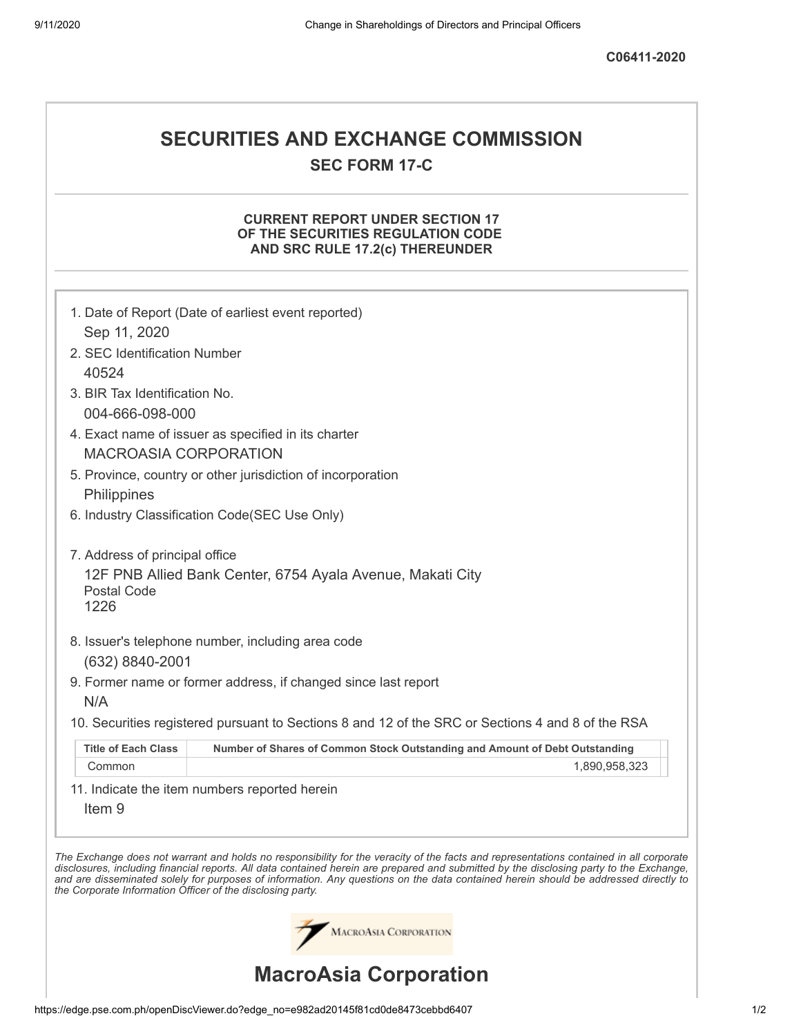# **SECURITIES AND EXCHANGE COMMISSION SEC FORM 17-C**

## **CURRENT REPORT UNDER SECTION 17 OF THE SECURITIES REGULATION CODE AND SRC RULE 17.2(c) THEREUNDER**

|                                                            | 1. Date of Report (Date of earliest event reported)                                                                                                                                                                                                                                                                                                                                                                      |
|------------------------------------------------------------|--------------------------------------------------------------------------------------------------------------------------------------------------------------------------------------------------------------------------------------------------------------------------------------------------------------------------------------------------------------------------------------------------------------------------|
| Sep 11, 2020                                               |                                                                                                                                                                                                                                                                                                                                                                                                                          |
| 2. SEC Identification Number                               |                                                                                                                                                                                                                                                                                                                                                                                                                          |
| 40524                                                      |                                                                                                                                                                                                                                                                                                                                                                                                                          |
| 3. BIR Tax Identification No.                              |                                                                                                                                                                                                                                                                                                                                                                                                                          |
| 004-666-098-000                                            |                                                                                                                                                                                                                                                                                                                                                                                                                          |
|                                                            | 4. Exact name of issuer as specified in its charter                                                                                                                                                                                                                                                                                                                                                                      |
| <b>MACROASIA CORPORATION</b>                               |                                                                                                                                                                                                                                                                                                                                                                                                                          |
|                                                            | 5. Province, country or other jurisdiction of incorporation                                                                                                                                                                                                                                                                                                                                                              |
| Philippines                                                |                                                                                                                                                                                                                                                                                                                                                                                                                          |
|                                                            | 6. Industry Classification Code(SEC Use Only)                                                                                                                                                                                                                                                                                                                                                                            |
| 7. Address of principal office                             |                                                                                                                                                                                                                                                                                                                                                                                                                          |
| Postal Code<br>1226                                        | 12F PNB Allied Bank Center, 6754 Ayala Avenue, Makati City                                                                                                                                                                                                                                                                                                                                                               |
|                                                            |                                                                                                                                                                                                                                                                                                                                                                                                                          |
|                                                            | 8. Issuer's telephone number, including area code                                                                                                                                                                                                                                                                                                                                                                        |
| (632) 8840-2001                                            |                                                                                                                                                                                                                                                                                                                                                                                                                          |
|                                                            | 9. Former name or former address, if changed since last report                                                                                                                                                                                                                                                                                                                                                           |
| N/A                                                        |                                                                                                                                                                                                                                                                                                                                                                                                                          |
|                                                            | 10. Securities registered pursuant to Sections 8 and 12 of the SRC or Sections 4 and 8 of the RSA                                                                                                                                                                                                                                                                                                                        |
| <b>Title of Each Class</b>                                 | Number of Shares of Common Stock Outstanding and Amount of Debt Outstanding                                                                                                                                                                                                                                                                                                                                              |
| Common                                                     | 1,890,958,323                                                                                                                                                                                                                                                                                                                                                                                                            |
| Item <sub>9</sub>                                          | 11. Indicate the item numbers reported herein                                                                                                                                                                                                                                                                                                                                                                            |
| the Corporate Information Officer of the disclosing party. | The Exchange does not warrant and holds no responsibility for the veracity of the facts and representations contained in all corporate<br>disclosures, including financial reports. All data contained herein are prepared and submitted by the disclosing party to the Exchange,<br>and are disseminated solely for purposes of information. Any questions on the data contained herein should be addressed directly to |
|                                                            | MACROASIA CORPORATION                                                                                                                                                                                                                                                                                                                                                                                                    |
|                                                            | <b>MacroAsia Corporation</b>                                                                                                                                                                                                                                                                                                                                                                                             |